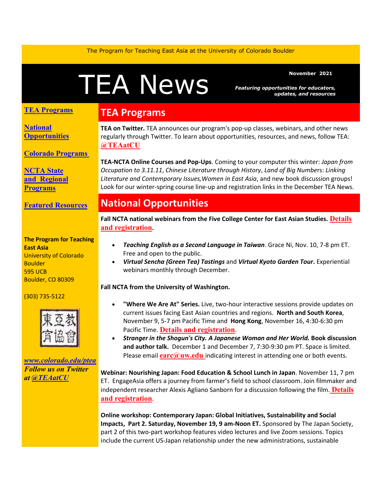The Program for Teaching East Asia at the University of Colorado Boulder

# News **News AMS**

*Featuring opportunities for educators, updates, and resources*

#### **TEA Programs**

**[National](#page-0-0)  [Opportunities](#page-0-0)**

**[Colorado Programs](#page-1-0)**

**[NCTA State](#page-2-0)  and [Regional](#page-2-0)  [Programs](#page-2-0)**

**[Featured Resources](#page-2-1)**

#### **The Program for Teaching East Asia** University of Colorado **Boulder** 595 UCB

(303) 735-5122

Boulder, CO 80309



*[www.colorado.edu/ptea](https://colorado.us14.list-manage.com/track/click?u=a98f30f153ca1547742422446&id=0e163ded71&e=9708c75edc) Follow us on Twitter at [@TEAatCU](https://colorado.us14.list-manage.com/track/click?u=a98f30f153ca1547742422446&id=9f78d0a128&e=9708c75edc)*

#### **TEA Programs**

**TEA on Twitter.** TEA announces our program's pop-up classes, webinars, and other news regularly through Twitter. To learn about opportunities, resources, and news, follow TEA: **[@TEAatCU](https://colorado.us14.list-manage.com/track/click?u=a98f30f153ca1547742422446&id=d760acfe85&e=9708c75edc)**

**TEA-NCTA Online Courses and Pop-Ups**. Coming to your computer this winter: *Japan from Occupation to 3.11.11*, *Chinese Literature through History*, *Land of Big Numbe*rs: *Linking Literature and Contemporary Issues,Women in East Asia*, and new book discussion groups! Look for our winter-spring course line-up and registration links in the December TEA News.

## **National Opportunities**

**Fall NCTA national webinars from the Five College Center for East Asian Studies. [Details](https://colorado.us14.list-manage.com/track/click?u=a98f30f153ca1547742422446&id=9133ebd247&e=9708c75edc)  [and registration](https://colorado.us14.list-manage.com/track/click?u=a98f30f153ca1547742422446&id=9133ebd247&e=9708c75edc).** 

- <span id="page-0-0"></span>• *Teaching English as a Second Language in Taiwan*. Grace Ni, Nov. 10, 7-8 pm ET. Free and open to the public.
- *Virtual Sencha (Green Tea) Tastings* and *Virtual Kyoto Garden Tour***.** Experiential webinars monthly through December.

#### **Fall NCTA from the University of Washington.**

- **"Where We Are At" Series.** Live, two-hour interactive sessions provide updates on current issues facing East Asian countries and regions. **North and South Korea**, November 9, 5-7 pm Pacific Time and **Hong Kong**, November 16, 4:30-6:30 pm Pacific Time. **[Details and registration](https://colorado.us14.list-manage.com/track/click?u=a98f30f153ca1547742422446&id=3894a6a8ea&e=9708c75edc)**.
- *Stranger in the Shogun's City. A Japanese Woman and Her World.* **Book discussion and author talk.** December 1 and December 7, 7:30-9:30 pm PT. Space is limited. Please email **[earc@uw.edu](mailto:earc@uw.edu)** indicating interest in attending one or both events.

**Webinar: Nourishing Japan: Food Education & School Lunch in Japan**. November 11, 7 pm ET. EngageAsia offers a journey from farmer's field to school classroom. Join filmmaker and independent researcher Alexis Agliano Sanborn for a discussion following the fil[m.](https://colorado.us14.list-manage.com/track/click?u=a98f30f153ca1547742422446&id=3dd045a2c8&e=9708c75edc) **[Details](https://colorado.us14.list-manage.com/track/click?u=a98f30f153ca1547742422446&id=134eaf2f8c&e=9708c75edc)  [and registration](https://colorado.us14.list-manage.com/track/click?u=a98f30f153ca1547742422446&id=134eaf2f8c&e=9708c75edc)**.

**Online workshop: Contemporary Japan: Global Initiatives, Sustainability and Social Impacts, Part 2. Saturday, November 19, 9 am-Noon ET.** Sponsored by The Japan Society, part 2 of this two-part workshop features video lectures and live Zoom sessions. Topics include the current US-Japan relationship under the new administrations, sustainable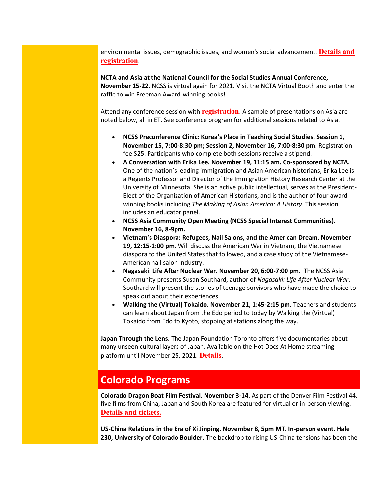environmental issues, demographic issues, and women's social advancement. **[Details and](https://colorado.us14.list-manage.com/track/click?u=a98f30f153ca1547742422446&id=b65e6177e0&e=9708c75edc)  [registration](https://colorado.us14.list-manage.com/track/click?u=a98f30f153ca1547742422446&id=b65e6177e0&e=9708c75edc)**.

**NCTA and Asia at the National Council for the Social Studies Annual Conference, November 15-22.** NCSS is virtual again for 2021. Visit the NCTA Virtual Booth and enter the raffle to win Freeman Award-winning books!

Attend any conference session with **[registration](https://colorado.us14.list-manage.com/track/click?u=a98f30f153ca1547742422446&id=4125ddfd74&e=9708c75edc)**. A sample of presentations on Asia are noted below, all in ET. See conference program for additional sessions related to Asia.

- **NCSS Preconference Clinic: Korea's Place in Teaching Social Studies**. **Session 1**, **November 15, 7:00-8:30 pm; Session 2, November 16, 7:00-8:30 pm**. Registration fee \$25. Participants who complete both sessions receive a stipend.
- **A Conversation with Erika Lee. November 19, 11:15 am. Co-sponsored by NCTA.**  One of the nation's leading immigration and Asian American historians, Erika Lee is a Regents Professor and Director of the Immigration History Research Center at the University of Minnesota. She is an active public intellectual, serves as the President-Elect of the Organization of American Historians, and is the author of four awardwinning books including *The Making of Asian America: A History*. This session includes an educator panel.
- **NCSS Asia Community Open Meeting (NCSS Special Interest Communities). November 16, 8-9pm.**
- **Vietnam's Diaspora: Refugees, Nail Salons, and the American Dream. November 19, 12:15-1:00 pm.** Will discuss the American War in Vietnam, the Vietnamese diaspora to the United States that followed, and a case study of the Vietnamese-American nail salon industry.
- **Nagasaki: Life After Nuclear War. November 20, 6:00-7:00 pm.** The NCSS Asia Community presents Susan Southard, author of *Nagasaki: Life After Nuclear War*. Southard will present the stories of teenage survivors who have made the choice to speak out about their experiences.
- **Walking the (Virtual) Tokaido. November 21, 1:45-2:15 pm.** Teachers and students can learn about Japan from the Edo period to today by Walking the (Virtual) Tokaido from Edo to Kyoto, stopping at stations along the way.

**Japan Through the Lens.** The Japan Foundation Toronto offers five documentaries about many unseen cultural layers of Japan. Available on the Hot Docs At Home streaming platform until November 25, 2021. **[Details](https://colorado.us14.list-manage.com/track/click?u=a98f30f153ca1547742422446&id=17bee9c2df&e=9708c75edc)**.

## <span id="page-1-0"></span>**Colorado Programs**

**Colorado Dragon Boat Film Festival. November 3-14.** As part of the Denver Film Festival 44, five films from China, Japan and South Korea are featured for virtual or in-person viewing. **[Details and tickets.](https://colorado.us14.list-manage.com/track/click?u=a98f30f153ca1547742422446&id=f719c8d12b&e=9708c75edc)**

**US-China Relations in the Era of Xi Jinping. November 8, 5pm MT. In-person event. Hale 230, University of Colorado Boulder.** The backdrop to rising US-China tensions has been the